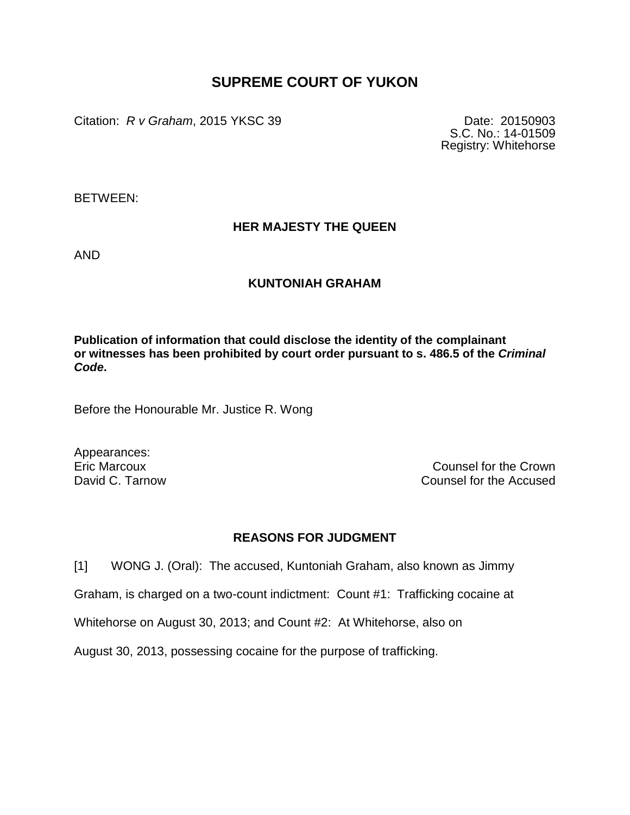## **SUPREME COURT OF YUKON**

Citation: *R v Graham*, 2015 YKSC 39 Date: 20150903

S.C. No.: 14-01509 Registry: Whitehorse

BETWEEN:

## **HER MAJESTY THE QUEEN**

AND

## **KUNTONIAH GRAHAM**

**Publication of information that could disclose the identity of the complainant or witnesses has been prohibited by court order pursuant to s. 486.5 of the** *Criminal Code***.**

Before the Honourable Mr. Justice R. Wong

Appearances:

Eric Marcoux Counsel for the Crown David C. Tarnow Counsel for the Accused

## **REASONS FOR JUDGMENT**

[1] WONG J. (Oral): The accused, Kuntoniah Graham, also known as Jimmy

Graham, is charged on a two-count indictment: Count #1: Trafficking cocaine at

Whitehorse on August 30, 2013; and Count #2: At Whitehorse, also on

August 30, 2013, possessing cocaine for the purpose of trafficking.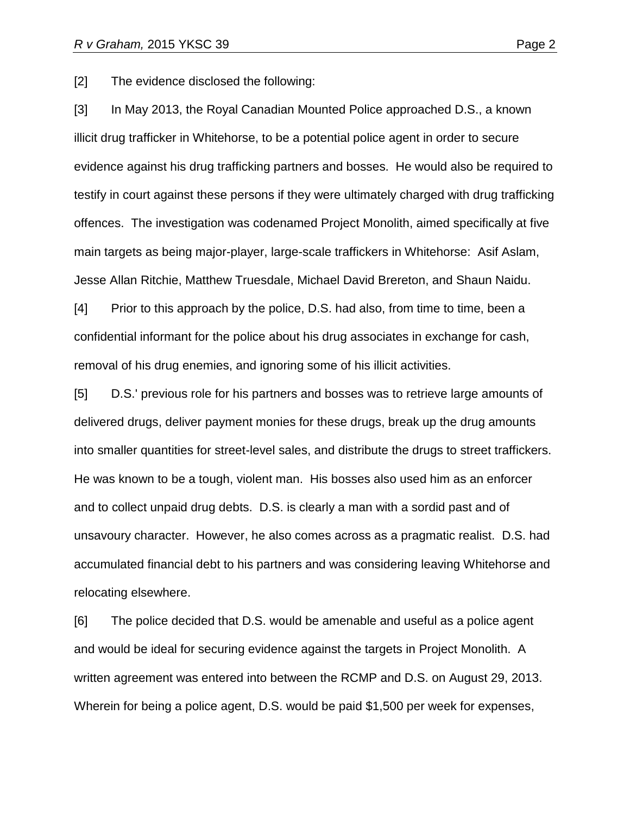[2] The evidence disclosed the following:

[3] In May 2013, the Royal Canadian Mounted Police approached D.S., a known illicit drug trafficker in Whitehorse, to be a potential police agent in order to secure evidence against his drug trafficking partners and bosses. He would also be required to testify in court against these persons if they were ultimately charged with drug trafficking offences. The investigation was codenamed Project Monolith, aimed specifically at five main targets as being major-player, large-scale traffickers in Whitehorse: Asif Aslam, Jesse Allan Ritchie, Matthew Truesdale, Michael David Brereton, and Shaun Naidu.

[4] Prior to this approach by the police, D.S. had also, from time to time, been a confidential informant for the police about his drug associates in exchange for cash, removal of his drug enemies, and ignoring some of his illicit activities.

[5] D.S.' previous role for his partners and bosses was to retrieve large amounts of delivered drugs, deliver payment monies for these drugs, break up the drug amounts into smaller quantities for street-level sales, and distribute the drugs to street traffickers. He was known to be a tough, violent man. His bosses also used him as an enforcer and to collect unpaid drug debts. D.S. is clearly a man with a sordid past and of unsavoury character. However, he also comes across as a pragmatic realist. D.S. had accumulated financial debt to his partners and was considering leaving Whitehorse and relocating elsewhere.

[6] The police decided that D.S. would be amenable and useful as a police agent and would be ideal for securing evidence against the targets in Project Monolith. A written agreement was entered into between the RCMP and D.S. on August 29, 2013. Wherein for being a police agent, D.S. would be paid \$1,500 per week for expenses,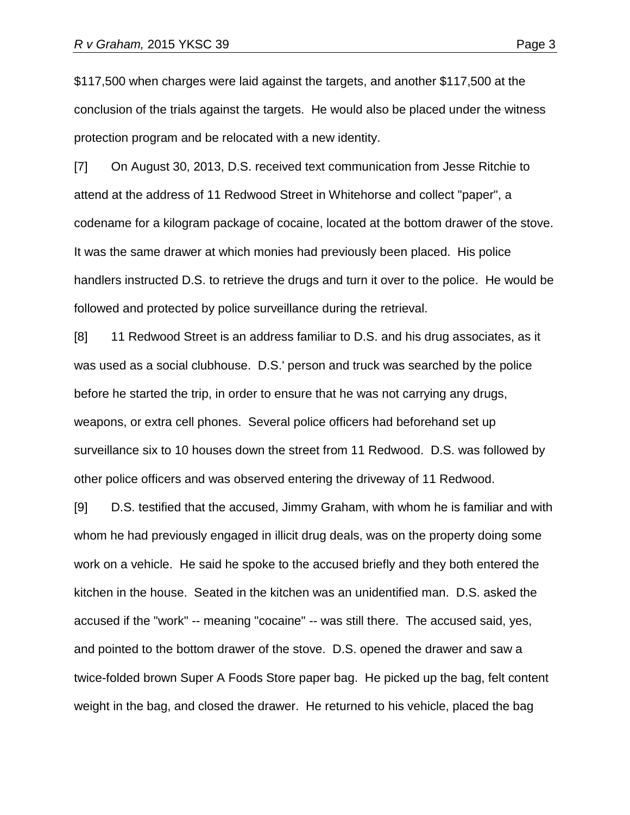\$117,500 when charges were laid against the targets, and another \$117,500 at the conclusion of the trials against the targets. He would also be placed under the witness protection program and be relocated with a new identity.

[7] On August 30, 2013, D.S. received text communication from Jesse Ritchie to attend at the address of 11 Redwood Street in Whitehorse and collect "paper", a codename for a kilogram package of cocaine, located at the bottom drawer of the stove. It was the same drawer at which monies had previously been placed. His police handlers instructed D.S. to retrieve the drugs and turn it over to the police. He would be followed and protected by police surveillance during the retrieval.

[8] 11 Redwood Street is an address familiar to D.S. and his drug associates, as it was used as a social clubhouse. D.S.' person and truck was searched by the police before he started the trip, in order to ensure that he was not carrying any drugs, weapons, or extra cell phones. Several police officers had beforehand set up surveillance six to 10 houses down the street from 11 Redwood. D.S. was followed by other police officers and was observed entering the driveway of 11 Redwood.

[9] D.S. testified that the accused, Jimmy Graham, with whom he is familiar and with whom he had previously engaged in illicit drug deals, was on the property doing some work on a vehicle. He said he spoke to the accused briefly and they both entered the kitchen in the house. Seated in the kitchen was an unidentified man. D.S. asked the accused if the "work" -- meaning "cocaine" -- was still there. The accused said, yes, and pointed to the bottom drawer of the stove. D.S. opened the drawer and saw a twice-folded brown Super A Foods Store paper bag. He picked up the bag, felt content weight in the bag, and closed the drawer. He returned to his vehicle, placed the bag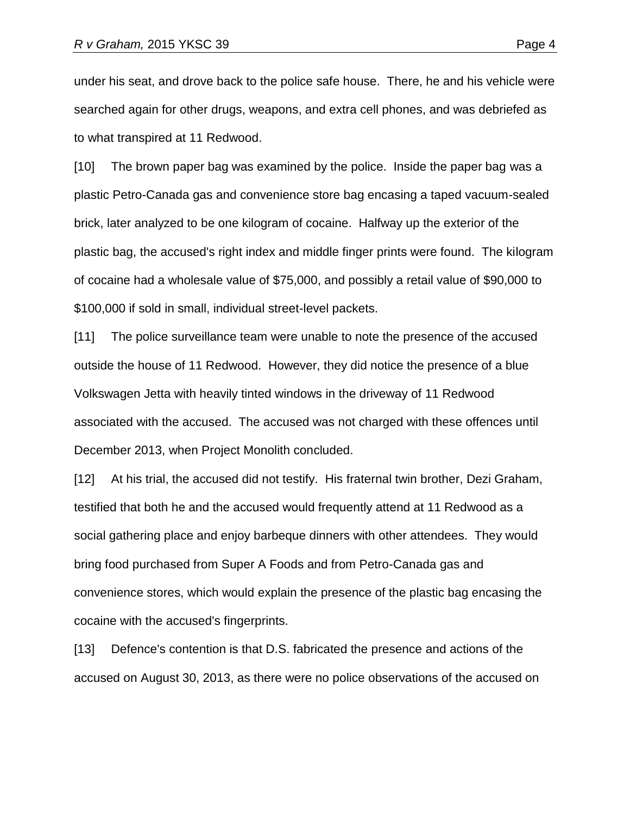under his seat, and drove back to the police safe house. There, he and his vehicle were searched again for other drugs, weapons, and extra cell phones, and was debriefed as to what transpired at 11 Redwood.

[10] The brown paper bag was examined by the police. Inside the paper bag was a plastic Petro-Canada gas and convenience store bag encasing a taped vacuum-sealed brick, later analyzed to be one kilogram of cocaine. Halfway up the exterior of the plastic bag, the accused's right index and middle finger prints were found. The kilogram of cocaine had a wholesale value of \$75,000, and possibly a retail value of \$90,000 to \$100,000 if sold in small, individual street-level packets.

[11] The police surveillance team were unable to note the presence of the accused outside the house of 11 Redwood. However, they did notice the presence of a blue Volkswagen Jetta with heavily tinted windows in the driveway of 11 Redwood associated with the accused. The accused was not charged with these offences until December 2013, when Project Monolith concluded.

[12] At his trial, the accused did not testify. His fraternal twin brother, Dezi Graham, testified that both he and the accused would frequently attend at 11 Redwood as a social gathering place and enjoy barbeque dinners with other attendees. They would bring food purchased from Super A Foods and from Petro-Canada gas and convenience stores, which would explain the presence of the plastic bag encasing the cocaine with the accused's fingerprints.

[13] Defence's contention is that D.S. fabricated the presence and actions of the accused on August 30, 2013, as there were no police observations of the accused on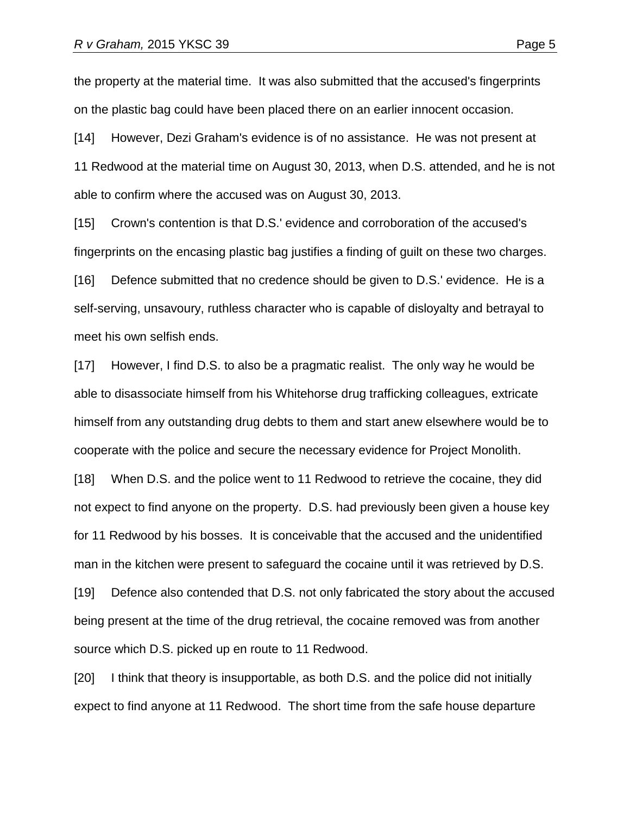the property at the material time. It was also submitted that the accused's fingerprints on the plastic bag could have been placed there on an earlier innocent occasion.

[14] However, Dezi Graham's evidence is of no assistance. He was not present at 11 Redwood at the material time on August 30, 2013, when D.S. attended, and he is not able to confirm where the accused was on August 30, 2013.

[15] Crown's contention is that D.S.' evidence and corroboration of the accused's fingerprints on the encasing plastic bag justifies a finding of guilt on these two charges.

[16] Defence submitted that no credence should be given to D.S.' evidence. He is a self-serving, unsavoury, ruthless character who is capable of disloyalty and betrayal to meet his own selfish ends.

[17] However, I find D.S. to also be a pragmatic realist. The only way he would be able to disassociate himself from his Whitehorse drug trafficking colleagues, extricate himself from any outstanding drug debts to them and start anew elsewhere would be to cooperate with the police and secure the necessary evidence for Project Monolith.

[18] When D.S. and the police went to 11 Redwood to retrieve the cocaine, they did not expect to find anyone on the property. D.S. had previously been given a house key for 11 Redwood by his bosses. It is conceivable that the accused and the unidentified man in the kitchen were present to safeguard the cocaine until it was retrieved by D.S.

[19] Defence also contended that D.S. not only fabricated the story about the accused being present at the time of the drug retrieval, the cocaine removed was from another source which D.S. picked up en route to 11 Redwood.

[20] I think that theory is insupportable, as both D.S. and the police did not initially expect to find anyone at 11 Redwood. The short time from the safe house departure